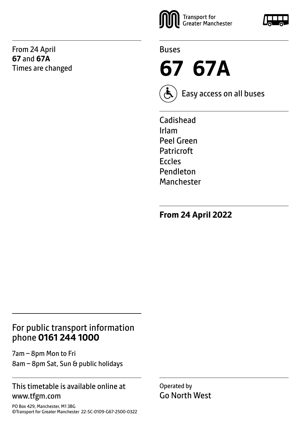From 24 April **67** and **67A** Times are changed





**67 67A**



Easy access on all buses

Cadishead Irlam Peel Green Patricroft Eccles Pendleton Manchester

**From 24 April 2022**

# For public transport information phone **0161 244 1000**

7am – 8pm Mon to Fri 8am – 8pm Sat, Sun & public holidays

### This timetable is available online at www.tfgm.com

PO Box 429, Manchester, M1 3BG ©Transport for Greater Manchester 22-SC-0109-G67-2500-0322 Operated by Go North West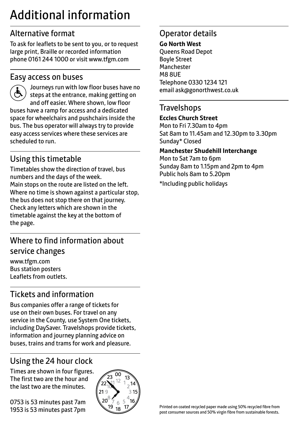# Additional information

# Alternative format

To ask for leaflets to be sent to you, or to request large print, Braille or recorded information phone 0161 244 1000 or visit www.tfgm.com

## Easy access on buses



 Journeys run with low floor buses have no steps at the entrance, making getting on and off easier. Where shown, low floor buses have a ramp for access and a dedicated space for wheelchairs and pushchairs inside the bus. The bus operator will always try to provide easy access services where these services are scheduled to run.

# Using this timetable

Timetables show the direction of travel, bus numbers and the days of the week. Main stops on the route are listed on the left. Where no time is shown against a particular stop, the bus does not stop there on that journey. Check any letters which are shown in the timetable against the key at the bottom of the page.

# Where to find information about service changes

www.tfgm.com Bus station posters Leaflets from outlets.

# Tickets and information

Bus companies offer a range of tickets for use on their own buses. For travel on any service in the County, use System One tickets, including DaySaver. Travelshops provide tickets, information and journey planning advice on buses, trains and trams for work and pleasure.

# Using the 24 hour clock

Times are shown in four figures. The first two are the hour and the last two are the minutes.

0753 is 53 minutes past 7am 1953 is 53 minutes past 7pm



# Operator details

#### **Go North West**

Queens Road Depot Boyle Street Manchester M8 8UE Telephone 0330 1234 121 email ask@gonorthwest.co.uk

### **Travelshops**

#### **Eccles Church Street**

Mon to Fri 7.30am to 4pm Sat 8am to 11.45am and 12.30pm to 3.30pm Sunday\* Closed

#### **Manchester Shudehill Interchange**

Mon to Sat 7am to 6pm Sunday 8am to 1.15pm and 2pm to 4pm Public hols 8am to 5.20pm

\*Including public holidays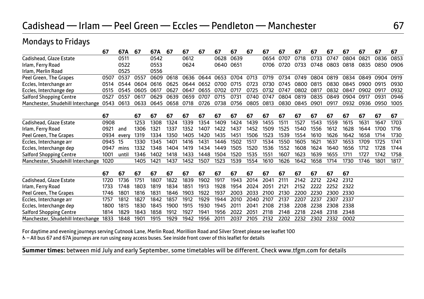# Cadishead — Irlam — Peel Green — Eccles — Pendleton — Manchester 67

### Mondays to Fridays

|                                   | 67   | 67A   | 67   | 67A  | 67   | 67   | 67        | 67   | 67   | 67   | 67   | 67   | 67   | 67   | 67   | 67   | 67   | 67   | 67   |
|-----------------------------------|------|-------|------|------|------|------|-----------|------|------|------|------|------|------|------|------|------|------|------|------|
| Cadishead, Glaze Estate           |      | 0511  |      | 0542 |      | 0612 |           | 0628 | 0639 |      | 0654 | 0707 | 0718 | 0733 | 0747 | 0804 | 0821 | 0836 | 0853 |
| Irlam, Ferry Road                 |      | 0522  |      | 0553 |      | 0624 |           | 0640 | 0651 |      | 0706 | 0720 | 0733 | 0748 | 0803 | 0818 | 0835 | 0850 | 0906 |
| Irlam, Merlin Road                |      | 0525  |      | 0556 |      |      |           |      |      |      |      |      |      |      |      |      |      |      |      |
| Peel Green, The Grapes            | 0507 | 0537  | 0557 | 0609 | 0618 | 0636 | 0644      | 0653 | 0704 | 0713 | 0719 | 0734 | 0749 | 0804 | 0819 | 0834 | 0849 | 0904 | 0919 |
| Eccles, Interchange arr           | 0514 | 0544  | 0604 | 0616 | 0625 |      | 0644 0652 | 0700 | 0715 | 0723 | 0730 | 0745 | 0800 | 0815 | 0830 | 0845 | 0900 | 0915 | 0930 |
| Eccles, Interchange dep           | 0515 | 0545  | 0605 | 0617 | 0627 | 0647 | 0655      | 0702 | 0717 | 0725 | 0732 | 0747 | 0802 | 0817 | 0832 | 0847 | 0902 | 0917 | 0932 |
| <b>Salford Shopping Centre</b>    | 0527 | 0557  | 0617 | 0629 | 0639 | 0659 | 0707      | 0715 | 0731 | 0740 | 0747 | 0804 | 0819 | 0835 | 0849 | 0904 | 0917 | 0931 | 0946 |
| Manchester, Shudehill Interchange | 0543 | 0613  | 0633 | 0645 | 0658 | 0718 | 0726      | 0738 | 0756 | 0805 | 0813 | 0830 | 0845 | 0901 | 0917 | 0932 | 0936 | 0950 | 1005 |
|                                   | 67   |       | 67   | 67   | 67   | 67   | 67        | 67   | 67   | 67   | 67   | 67   | 67   | 67   | 67   | 67   | 67   | 67   | 67   |
| Cadishead, Glaze Estate           | 0908 |       | 1253 | 1308 | 1324 | 1339 | 1354      | 1409 | 1424 | 1439 | 1455 | 1511 | 1527 | 1543 | 1559 | 1615 | 1631 | 1647 | 1703 |
| Irlam, Ferry Road                 | 0921 | and   | 1306 | 1321 | 1337 | 1352 | 1407      | 1422 | 1437 | 1452 | 1509 | 1525 | 1540 | 1556 | 1612 | 1628 | 1644 | 1700 | 1716 |
| Peel Green, The Grapes            | 0934 | every | 1319 | 1334 | 1350 | 1405 | 1420      | 1435 | 1451 | 1506 | 1523 | 1539 | 1554 | 1610 | 1626 | 1642 | 1658 | 1714 | 1730 |
| Eccles, Interchange arr           | 0945 | 15    | 1330 | 1345 | 1401 | 1416 | 1431      | 1446 | 1502 | 1517 | 1534 | 1550 | 1605 | 1621 | 1637 | 1653 | 1709 | 1725 | 1741 |
| Eccles, Interchange dep           | 0947 | mins  | 1332 | 1348 | 1404 | 1419 | 1434      | 1449 | 1505 | 1520 | 1536 | 1552 | 1608 | 1624 | 1640 | 1656 | 1712 | 1728 | 1744 |
| <b>Salford Shopping Centre</b>    | 1001 | until | 1346 | 1402 | 1418 | 1433 | 1448      | 1504 | 1520 | 1535 | 1551 | 1607 | 1623 | 1639 | 1655 | 1711 | 1727 | 1742 | 1758 |
| Manchester, Shudehill Interchange | 1020 |       | 1405 | 1421 | 1437 | 1452 | 1507      | 1523 | 1539 | 1554 | 1610 | 1626 | 1642 | 1658 | 1714 | 1730 | 1746 | 1801 | 1817 |
|                                   |      |       |      |      |      |      |           |      |      |      |      |      |      |      |      |      |      |      |      |
|                                   | 67   | 67    | 67   | 67   | 67   | 67   | 67        | 67   | 67   | 67   | 67   | 67   | 67   | 67   | 67   | 67   |      |      |      |
| Cadishead, Glaze Estate           | 1720 | 1736  | 1751 | 1807 | 1822 | 1839 | 1902      | 1917 | 1943 | 2014 | 2041 | 2111 | 2142 | 2212 | 2242 | 2312 |      |      |      |
| Irlam, Ferry Road                 | 1733 | 1748  | 1803 | 1819 | 1834 | 1851 | 1913      | 1928 | 1954 | 2024 | 2051 | 2121 | 2152 | 2222 | 2252 | 2322 |      |      |      |
| Peel Green, The Grapes            | 1746 | 1801  | 1816 | 1831 | 1846 | 1903 | 1922      | 1937 | 2003 | 2033 | 2100 | 2130 | 2200 | 2230 | 2300 | 2330 |      |      |      |
| Eccles, Interchange arr           | 1757 | 1812  | 1827 | 1842 | 1857 | 1912 | 1929      | 1944 | 2010 | 2040 | 2107 | 2137 | 2207 | 2237 | 2307 | 2337 |      |      |      |
| Eccles, Interchange dep           | 1800 | 1815  | 1830 | 1845 | 1900 | 1915 | 1930      | 1945 | 2011 | 2041 | 2108 | 2138 | 2208 | 2238 | 2308 | 2338 |      |      |      |
| <b>Salford Shopping Centre</b>    | 1814 | 1829  | 1843 | 1858 | 1912 | 1927 | 1941      | 1956 | 2022 | 2051 | 2118 | 2148 | 2218 | 2248 | 2318 | 2348 |      |      |      |
| Manchester, Shudehill Interchange | 1833 | 1848  | 1901 | 1915 | 1929 | 1942 | 1956      | 2011 | 2037 | 2105 | 2132 | 2202 | 2232 | 2302 | 2332 | 0002 |      |      |      |

For daytime and evening journeys serving Cutnook Lane, Merlin Road, Morillion Road and Silver Street please see leaflet 100

W– All bus 67 and 67A journeys are run using easy access buses. See inside front cover of this leaflet for details

**Summer times:** between mid July and early September, some timetables will be different. Check www.tfgm.com for details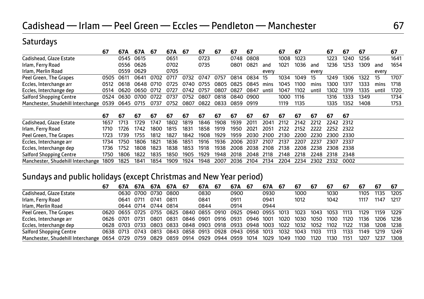### **Saturdays**

|                                   | 67   | 67A       | 67A  | -67  | 67A  | -67  | 67   | 67   | 67   | 67    |       | 67   | 67   |       | 67   | 67   | 67   |       | 67   |
|-----------------------------------|------|-----------|------|------|------|------|------|------|------|-------|-------|------|------|-------|------|------|------|-------|------|
| Cadishead, Glaze Estate           |      | 0545      | 0615 |      | 0651 |      | 0723 |      | 0748 | 0808  |       | 1008 | 1023 |       | 1223 | 1240 | 1256 |       | 1641 |
| Irlam, Ferry Road                 |      | 0556      | 0626 |      | 0702 |      | 0735 |      | 0801 | 0821  | and   | 1021 | 1036 | and   | 1236 | 1253 | 1309 | and   | 1654 |
| Irlam, Merlin Road                |      | 0559      | 0629 |      | 0705 |      |      |      |      |       | every |      |      | every |      |      |      | every |      |
| Peel Green, The Grapes            | 0505 | 0611      | 0641 | 0702 | 0717 | 0732 | 0747 | 0757 | 0814 | 0834  | -15   | 1034 | 1049 | 15    | 1249 | 1306 | 1322 | 15    | 1707 |
| Eccles, Interchange arr           | 0512 | 0618      | 0648 | 0710 | 0725 | 0740 | 0755 | 0805 | 0825 | 0845  | mins  | 1045 | 1100 | mins  | 1300 | 1317 | 1333 | mins  | 1718 |
| Eccles, Interchange dep           | 0514 | 0620      | 0650 | 0712 | 0727 | 0742 | 0757 | 0807 | 0827 | 0847  | until | 1047 | 1102 | until | 1302 | 1319 | 1335 | until | 1720 |
| <b>Salford Shopping Centre</b>    | 0524 | 0630      | 0700 | 0722 | 0737 | 0752 | 0807 | 0818 | 0840 | .0900 |       | 1000 | 1116 |       | 1316 | 1333 | 1349 |       | 1734 |
| Manchester, Shudehill Interchange | 0539 | 0645 0715 |      | 0737 | 0752 | 0807 | 0822 | 0833 | 0859 | 0919  |       | 1119 | 1135 |       | 1335 | 1352 | 1408 |       | 1753 |
|                                   |      |           |      |      |      |      |      |      |      |       |       |      |      |       |      |      |      |       |      |
|                                   | 67   | 67        | 67   | 67   | 67   | 67   | 67   | 67   | 67   | 67    | 67    | 67   | 67   | 67    | 67   | 67   |      |       |      |
| Cadishead, Glaze Estate           | 1657 | 1713      | 1729 | 1747 | 1802 | 1819 | 1846 | 1908 | 1939 | 2011  | 2041  | 2112 | 2142 | 2212  | 2242 | 2312 |      |       |      |
| Irlam, Ferry Road                 | 1710 | 1726      | 1742 | 1800 | 1815 | 1831 | 1858 | 1919 | 1950 | 2021  | 2051  | 2122 | 2152 | 2222  | 2252 | 2322 |      |       |      |
| Peel Green, The Grapes            | 1723 | 1739      | 1755 | 1812 | 1827 | 1842 | 1908 | 1929 | 1959 | 2030  | 2100  | 2130 | 2200 | 2230  | 2300 | 2330 |      |       |      |
| Eccles, Interchange arr           | 1734 | 1750      | 1806 | 1821 | 1836 | 1851 | 1916 | 1936 | 2006 | 2037  | 2107  | 2137 | 2207 | 2237  | 2307 | 2337 |      |       |      |
| Eccles, Interchange dep           | 1736 | 1752      | 1808 | 1823 | 1838 | 1853 | 1918 | 1938 | 2008 | 2038  | 2108  | 2138 | 2208 | 2238  | 2308 | 2338 |      |       |      |
| <b>Salford Shopping Centre</b>    | 1750 | 1806      | 1822 | 1835 | 1850 | 1905 | 1929 | 1948 | 2018 | 2048  | 2118  | 2148 | 2218 | 2248  | 2318 | 2348 |      |       |      |
| Manchester, Shudehill Interchange | 1809 | 1825      | 1841 | 1854 | 1909 | 1924 | 1948 | 2007 | 2036 | 2104  | 2134  | 2204 | 2234 | 2302  | 2332 | 0002 |      |       |      |

### Sundays and public holidays (except Christmas and New Year period)

|                                   | 67        | 67A       | 67A            | 67A       | 67A 67                                  |           | 67A  | -67       | 67A            | -67       | 67A                 | -67  | 67   | 67   | 67   | 67   | 67   |      | 67    |
|-----------------------------------|-----------|-----------|----------------|-----------|-----------------------------------------|-----------|------|-----------|----------------|-----------|---------------------|------|------|------|------|------|------|------|-------|
| Cadishead, Glaze Estate           |           |           | 0630 0700      | 0730      | 0800                                    |           | 0830 |           | 0900           |           | 0930                |      | 1000 |      | 1030 |      | 1105 | 1135 | 1205  |
| Irlam, Ferry Road                 |           | 0641      | 0711           | 0741      | 0811                                    |           | 0841 |           | 0911           |           | 0941                |      | 1012 |      | 1042 |      | 1117 | 1147 | 1217  |
| Irlam, Merlin Road                |           | 0644 0714 |                | 0744 0814 |                                         |           | 0844 |           | 0914           |           | 0944                |      |      |      |      |      |      |      |       |
| Peel Green, The Grapes            |           |           | 0620 0655 0725 | 0755      | 0825                                    | 0840      | 0855 | 0910      |                |           | 0925 0940 0955 1013 |      | 1023 | 1043 | 1053 | 1113 | 1129 | 1159 | 1229  |
| Eccles, Interchange arr           |           | 0626 0701 | 0731           | 0801      | 0831                                    | 0846 0901 |      | 0916      | 0931           | 0946 1001 |                     | 1020 | 1030 | 1050 | 1100 | 1120 | 1136 | 1206 | -1236 |
| Eccles, Interchange dep           |           |           |                |           | 0628 0703 0733 0803 0833 0848 0903 0918 |           |      |           | 0933 0948 1003 |           |                     | 1022 | 1032 | 1052 | 1102 | 1122 | 1138 | 1208 | 1238  |
| <b>Salford Shopping Centre</b>    | 0638 0713 |           | 0743 0813      |           | 0843                                    | 0858 0913 |      | 0928      | 0943 0958 1013 |           |                     | 1032 | 1043 | 1103 | 1113 | 1133 | 1149 | 1219 | 1249  |
| Manchester, Shudehill Interchange | 0654 0729 |           | 0759           | 0829      | 0859 0914                               |           | 0929 | 0944 0959 |                | 1014      | 1029                | 1049 | 1100 | 1120 | 1130 | 1151 | 1207 | 1237 | 1308  |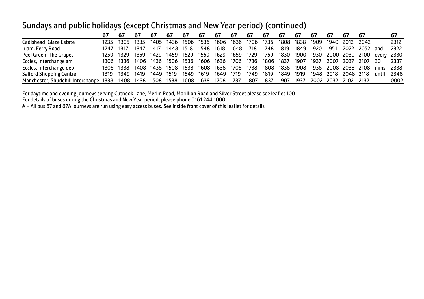### Sundays and public holidays (except Christmas and New Year period) (continued)

|                                        | 67    |           |      |                     | 67        | 67   | 67   | -67            | 67        | -67       | 67                            | 67   | 67        | -67                 |                     |                | -67 |                      | -67    |
|----------------------------------------|-------|-----------|------|---------------------|-----------|------|------|----------------|-----------|-----------|-------------------------------|------|-----------|---------------------|---------------------|----------------|-----|----------------------|--------|
| Cadishead, Glaze Estate                | 1235  | 1305      | 1335 | 1405                | 1436      | 1506 | 1536 | 1606           | 1636      | 1706      | 1736                          | 1808 | 1838      | 1909                |                     | 1940 2012 2042 |     |                      | 2312   |
| Irlam, Ferry Road                      | 1247  | 1317      | 1347 | 1417                | 1448      | 1518 | 1548 | 1618           | 1648 1718 |           | 1748                          | 1819 | 1849 1920 |                     | 1951                | 2022 2052 and  |     |                      | 2322   |
| Peel Green, The Grapes                 | 1259. | 1329      | 1359 | 1429                | 1459 1529 |      | 1559 | 1629           |           |           | 1659 1729 1759 1830 1900 1930 |      |           |                     |                     |                |     | 2000 2030 2100 every | 2330   |
| Eccles, Interchange arr                |       | 1306 1336 |      | 1406 1436           | 1506      | 1536 | 1606 | 1636           |           |           | 1706 1736 1806 1837           |      | 1907      | 1937                |                     | 2007 2037 2107 |     | -30                  | 2337   |
| Eccles, Interchange dep                |       |           |      | 1308 1338 1408 1438 | 1508      | 1538 | 1608 | 1638           | 1708      | 1738      | 1808                          | 1838 | 1908      | 1938 2008 2038 2108 |                     |                |     | mins                 | - 2338 |
| <b>Salford Shopping Centre</b>         | 1319  | 1349 1419 |      | 1449                | 1519      | 1549 | 1619 | 1649           | 1719      | 1749      | 1819                          | 1849 | 1919      | 1948                | 2018                | 2048 2118      |     | until                | 2348   |
| Manchester, Shudehill Interchange 1338 |       |           |      | 1408 1438 1508      | 1538      | 1608 |      | 1638 1708 1737 |           | 1807 1837 |                               | 1907 | 1937      |                     | 2002 2032 2102 2132 |                |     |                      | 0002   |

For daytime and evening journeys serving Cutnook Lane, Merlin Road, Morillion Road and Silver Street please see leaflet 100

For details of buses during the Christmas and New Year period, please phone 0161 244 1000

& - All bus 67 and 67A journeys are run using easy access buses. See inside front cover of this leaflet for details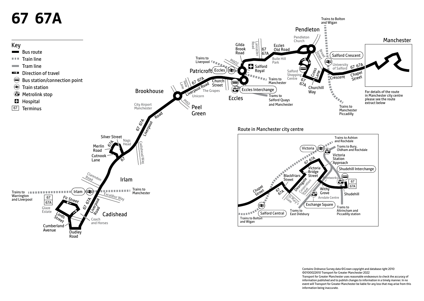

Contains Ordnance Survey data ©Crown copyright and database right 2010 ©0100022610 Transport for Greater Manchester 2022 Transport for Greater Manchester uses reasonable endeavours to check the accuracy of information published and to publish changes to information in a timely manner. In no event will Transport for Greater Manchester be liable for any loss that may arise from this information being inaccurate.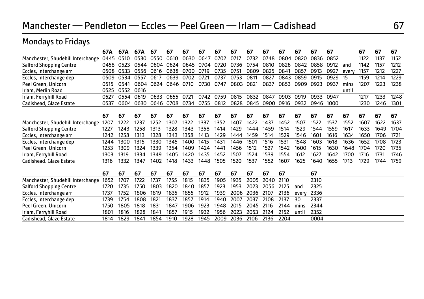# Manchester — Pendleton — Eccles — Peel Green — Irlam — Cadishead 67

Mondays to Fridays

| mondays to madys                  |      |      |      |      |      |           |      |      |      |      |      |      |       |      |      |       |      |      |      |
|-----------------------------------|------|------|------|------|------|-----------|------|------|------|------|------|------|-------|------|------|-------|------|------|------|
|                                   | 67A  | 67A  | 67A  | 67   | 67   | 67        | 67   | 67   | 67   | 67   | 67   | 67   | 67    | 67   | 67   |       | 67   | 67   | 67   |
| Manchester, Shudehill Interchange | 0445 | 0510 | 0530 | 0550 | 0610 | 0630      | 0647 | 0702 | 0717 | 0732 | 0748 | 0804 | 0820  | 0836 | 0852 |       | 1122 | 1137 | 1152 |
| <b>Salford Shopping Centre</b>    | 0458 | 0523 | 0544 | 0604 | 0624 | 0645      | 0704 | 0720 | 0736 | 0754 | 0810 | 0826 | 0842  | 0858 | 0912 | and   | 1142 | 1157 | 1212 |
| Eccles, Interchange arr           | 0508 | 0533 | 0556 | 0616 | 0638 | 0700      | 0719 | 0735 | 0751 | 0809 | 0825 | 0841 | 0857  | 0913 | 0927 | every | 1157 | 1212 | 1227 |
| Eccles, Interchange dep           | 0509 | 0534 | 0557 | 0617 | 0639 | 0702      | 0721 | 0737 | 0753 | 0811 | 0827 | 0843 | 0859  | 0915 | 0929 | 15    | 1159 | 1214 | 1229 |
| Peel Green, Unicorn               | 0515 | 0541 | 0604 | 0624 |      | 0646 0710 | 0730 | 0747 | 0803 | 0821 | 0837 | 0853 | 0909  | 0923 | 0937 | mins  | 1207 | 1223 | 1238 |
| Irlam, Merlin Road                | 0525 | 0552 | 0616 |      |      |           |      |      |      |      |      |      |       |      |      | until |      |      |      |
| Irlam, Ferryhill Road             | 0527 | 0554 | 0619 | 0633 | 0655 | 0721      | 0742 | 0759 | 0815 | 0832 | 0847 | 0903 | 0919  | 0933 | 0947 |       | 1217 | 1233 | 1248 |
| Cadishead, Glaze Estate           | 0537 | 0604 | 0630 | 0646 | 0708 | 0734      | 0755 | 0812 | 0828 | 0845 | 0900 | 0916 | 0932  | 0946 | 1000 |       | 1230 | 1246 | 1301 |
|                                   | 67   | 67   | 67   | 67   | 67   | 67        | 67   | 67   | 67   | 67   | 67   | 67   | 67    | 67   | 67   | 67    | 67   | 67   | 67   |
| Manchester, Shudehill Interchange | 1207 | 1222 | 1237 | 1252 | 1307 | 1322      | 1337 | 1352 | 1407 | 1422 | 1437 | 1452 | 1507  | 1522 | 1537 | 1552  | 1607 | 1622 | 1637 |
| <b>Salford Shopping Centre</b>    | 1227 | 1243 | 1258 | 1313 | 1328 | 1343      | 1358 | 1414 | 1429 | 1444 | 1459 | 1514 | 1529  | 1544 | 1559 | 1617  | 1633 | 1649 | 1704 |
| Eccles, Interchange arr           | 1242 | 1258 | 1313 | 1328 | 1343 | 1358      | 1413 | 1429 | 1444 | 1459 | 1514 | 1529 | 1546  | 1601 | 1616 | 1634  | 1650 | 1706 | 1721 |
| Eccles, Interchange dep           | 1244 | 1300 | 1315 | 1330 | 1345 | 1400      | 1415 | 1431 | 1446 | 1501 | 1516 | 1531 | 1548  | 1603 | 1618 | 1636  | 1652 | 1708 | 1723 |
| Peel Green, Unicorn               | 1253 | 1309 | 1324 | 1339 | 1354 | 1409      | 1424 | 1441 | 1456 | 1512 | 1527 | 1542 | 1600  | 1615 | 1630 | 1648  | 1704 | 1720 | 1735 |
| Irlam, Ferryhill Road             | 1303 | 1319 | 1334 | 1349 | 1405 | 1420      | 1435 | 1452 | 1507 | 1524 | 1539 | 1554 | 1612  | 1627 | 1642 | 1700  | 1716 | 1731 | 1746 |
| Cadishead, Glaze Estate           | 1316 | 1332 | 1347 | 1402 | 1418 | 1433      | 1448 | 1505 | 1520 | 1537 | 1552 | 1607 | 1625  | 1640 | 1655 | 1713  | 1729 | 1744 | 1759 |
|                                   | 67   | 67   | 67   | 67   | 67   | 67        | 67   | 67   | 67   | 67   | 67   | 67   |       | 67   |      |       |      |      |      |
| Manchester, Shudehill Interchange | 1652 | 1707 | 1722 | 1737 | 1755 | 1815      | 1835 | 1905 | 1935 | 2005 | 2040 | 2110 |       | 2310 |      |       |      |      |      |
| <b>Salford Shopping Centre</b>    | 1720 | 1735 | 1750 | 1803 | 1820 | 1840      | 1857 | 1923 | 1953 | 2023 | 2056 | 2125 | and   | 2325 |      |       |      |      |      |
| Eccles, Interchange arr           | 1737 | 1752 | 1806 | 1819 | 1835 | 1855      | 1912 | 1939 | 2006 | 2036 | 2107 | 2136 | every | 2336 |      |       |      |      |      |
| Eccles, Interchange dep           | 1739 | 1754 | 1808 | 1821 | 1837 | 1857      | 1914 | 1940 | 2007 | 2037 | 2108 | 2137 | 30    | 2337 |      |       |      |      |      |
| Peel Green, Unicorn               | 1750 | 1805 | 1818 | 1831 | 1847 | 1906      | 1923 | 1948 | 2015 | 2045 | 2116 | 2144 | mins  | 2344 |      |       |      |      |      |
| Irlam, Ferryhill Road             | 1801 | 1816 | 1828 | 1841 | 1857 | 1915      | 1932 | 1956 | 2023 | 2053 | 2124 | 2152 | until | 2352 |      |       |      |      |      |
| Cadishead, Glaze Estate           | 1814 | 1829 | 1841 | 1854 | 1910 | 1928      | 1945 | 2009 | 2036 | 2106 | 2136 | 2204 |       | 0004 |      |       |      |      |      |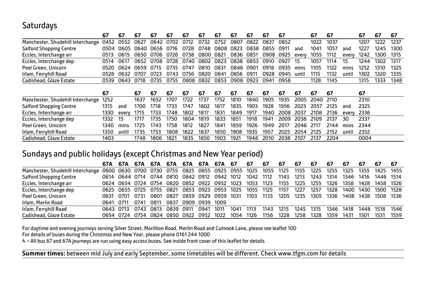## **Saturdays**

|                                   | 67   | 67    | 67   | 67   | 67   | 67   | 67   | 67   | 67   | 67   | 67   | 67   |       | 67   | 67   |       | 67   | 67   | 67   |
|-----------------------------------|------|-------|------|------|------|------|------|------|------|------|------|------|-------|------|------|-------|------|------|------|
| Manchester, Shudehill Interchange | 0452 | 0552  | 0627 | 0642 | 0702 | 0712 | 0732 | 0752 | 0807 | 0822 | 0837 | 0852 |       | 1022 | 1037 |       | 1207 | 1222 | 1237 |
| <b>Salford Shopping Centre</b>    | 0504 | 0605  | 0640 | 0656 | 0716 | 0728 | 0748 | 0808 | 0823 | 0838 | 0855 | 091  | and   | 1041 | 1057 | and   | 1227 | 1245 | 1300 |
| Eccles, Interchange arr           | 0513 | 0615  | 0650 | 0706 | 0726 | 0738 | 0800 | 0821 | 0836 | 0851 | 0908 | 0925 | every | 1055 | 1112 | every | 1242 | 1300 | 1315 |
| Eccles, Interchange dep           | 0514 | 0617  | 0652 | 0708 | 0728 | 0740 | 0802 | 0823 | 0838 | 0853 | 0910 | 0927 | 15    | 1057 | 1114 | 15    | 1244 | 1302 | 1317 |
| Peel Green, Unicorn               | 0520 | 0624  | 0659 | 0715 | 0735 | 0747 | 0810 | 0831 | 0846 | 0901 | 0918 | 0935 | mins  | 1105 | 1122 | mins  | 1252 | 1310 | 1325 |
| Irlam, Ferryhill Road             | 0528 | 0632  |      | 0723 | 0743 | 0756 | 0820 | 0841 | 0856 | .ስ91 | 0928 | 0945 | until | 1115 | 1132 | until | 1302 | 1320 | 1335 |
| Cadishead, Glaze Estate           | 0539 | 0643  | 0718 | 0735 | 0755 | 0808 | 0832 | 0853 | 0908 | 0923 | 0941 | 0958 |       | 1128 | 1145 |       | 1315 | 1333 | 1348 |
|                                   |      |       |      |      |      |      |      |      |      |      |      |      |       |      |      |       |      |      |      |
|                                   |      |       |      |      |      |      |      |      |      |      |      |      |       |      |      |       |      |      |      |
|                                   | 67   |       | 67   | 67   | 67   | 67   | 67   | 67   | 67   | 67   | 67   | 67   | 67    | 67   | 67   |       | 67   |      |      |
| Manchester, Shudehill Interchange | 1252 |       | 1637 | 1652 | 1707 | 1722 | 1737 | 1752 | 1810 | 1840 | 1905 | 1935 | 2005  | 2040 | 2110 |       | 2310 |      |      |
| <b>Salford Shopping Centre</b>    | 1315 | and   | 1700 | 1718 | 1733 | 1747 | 1802 | 1817 | 1835 | 1903 | 1928 | 1956 | 2025  | 2057 | 2125 | and   | 2325 |      |      |
| Eccles, Interchange arr           | 1330 | every | 1715 | 1733 | 1748 | 1802 | 1817 | 1831 | 1849 | 1917 | 1940 | 2008 | 2037  | 2108 | 2136 | every | 2336 |      |      |
| Eccles, Interchange dep           | 1332 | 15    | 1717 | 1735 | 1750 | 1804 | 1819 | 1833 | 1851 | 1918 | 1941 | 2009 | 2038  | 2109 | 2137 | 30    | 2337 |      |      |
| Peel Green, Unicorn               | 1340 | mins  | 1725 | 1743 | 1758 | 1812 | 1827 | 1841 | 1859 | 1926 | 1949 | 2017 | 2046  | 2117 | 2144 | mins  | 2344 |      |      |
| Irlam, Ferryhill Road             | 1350 | until | 1735 | 1753 | 1808 | 1822 | 1837 | 1850 | 1908 | 1935 | 1957 | 2025 | 2054  | 2125 | 2152 | until | 2352 |      |      |

#### Sundays and public holidays (except Christmas and New Year period)

|                                   |           |           |                     | 67A 67A 67A 67A 67A 67A 67A 67A 67                     |           |                     |      |      |      | 67        | 67                                                               | -67  | 67        | 67   | 67   | 67   | 67        | 67                  | -67  |
|-----------------------------------|-----------|-----------|---------------------|--------------------------------------------------------|-----------|---------------------|------|------|------|-----------|------------------------------------------------------------------|------|-----------|------|------|------|-----------|---------------------|------|
| Manchester, Shudehill Interchange |           |           |                     |                                                        |           |                     |      |      |      |           | 0600 0630 0700 0730 0755 0825 0855 0925 0955 1025 1055 1125 1155 |      |           | 1225 | 1255 | 1325 |           | 1355 1425 1455      |      |
| <b>Salford Shopping Centre</b>    |           |           |                     | 0614 0644 0714 0744 0810 0842 0912 0942 1012           |           |                     |      |      |      | 1042 1112 |                                                                  | 1143 | 1213      | 1243 | 1314 | 1346 |           | 1416 1446 1514      |      |
| Eccles, Interchange arr           |           |           |                     | 0624 0654 0724 0754 0820 0852 0922 0952 1023 1053 1123 |           |                     |      |      |      |           |                                                                  | 1155 | 1225      | 1255 | 1326 |      |           | 1358 1428 1458 1526 |      |
| Eccles, Interchange dep           |           |           |                     | 0625 0655 0725 0755                                    | 0821      | 0853 0923 0953 1025 |      |      |      | 1055 1125 |                                                                  | 1157 | 1227      | 1257 | 1328 |      |           | 1400 1430 1500 1528 |      |
| Peel Green, Unicorn               |           | 0631 0701 | 0731                | 0801                                                   | 0827      | 0859 0929 0959 1031 |      |      |      | 1103      | 1133                                                             | 1205 | 1235      | 1305 | 1336 |      |           | 1408 1438 1508 1536 |      |
| Irlam, Merlin Road                | 0641 0711 |           | 0741                | 0811                                                   | 0837      | 0909 0939 1009      |      |      |      |           |                                                                  |      |           |      |      |      |           |                     |      |
| Irlam, Ferryhill Road             |           |           | 0643 0713 0743 0813 |                                                        | 0839 0911 |                     | 0941 | 1011 | 1041 | 1113      | 1143                                                             | 1215 | 1245 1315 |      | 1346 | 1418 | 1448 1518 |                     | 1546 |
| Cadishead, Glaze Estate           |           | 0654 0724 |                     | 0754 0824                                              |           | 0850 0922           | 0952 | 1022 | 1054 | 1126      | 1156                                                             | 1228 | 1258      | 1328 | 1359 | 1431 | 1501      | 1531                | 1559 |

For daytime and evening journeys serving Silver Street, Morillion Road, Merlin Road and Cutnook Lane, please see leaflet 100

For details of buses during the Christmas and New Year, please phone 0161 244 1000

W– All bus 67 and 67A journeys are run using easy access buses. See inside front cover of this leaflet for details

**Summer times:** between mid July and early September, some timetables will be different. Check www.tfgm.com for details